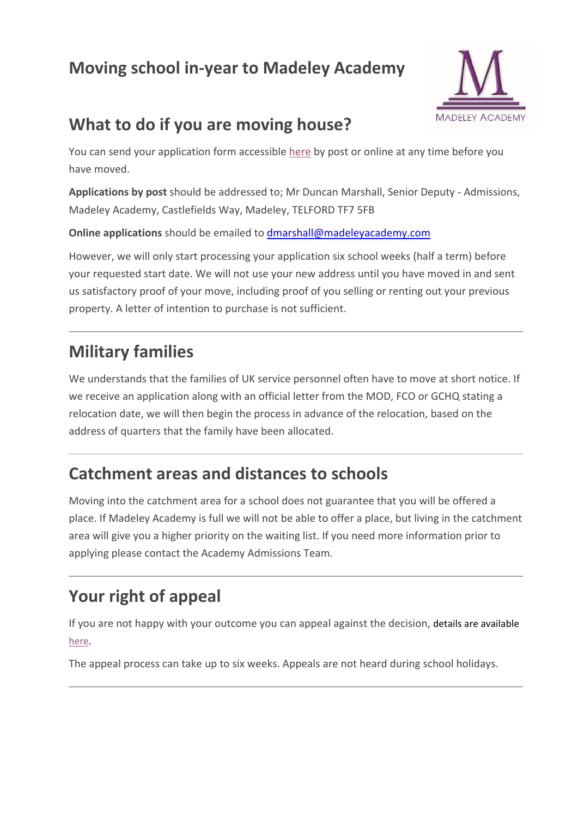# **Moving school in-year to Madeley Academy**



## **What to do if you are moving house?**

You can send your application form accessible [here](https://www.madeleyacademy.com/uploads/documents/in_year_transfer_form.docx) by post or online at any time before you have moved.

**Applications by post** should be addressed to; Mr Duncan Marshall, Senior Deputy - Admissions, Madeley Academy, Castlefields Way, Madeley, TELFORD TF7 5FB

**Online applications** should be emailed to **dmarshall@madeleyacademy.com** 

However, we will only start processing your application six school weeks (half a term) before your requested start date. We will not use your new address until you have moved in and sent us satisfactory proof of your move, including proof of you selling or renting out your previous property. A letter of intention to purchase is not sufficient.

# **Military families**

We understands that the families of UK service personnel often have to move at short notice. If we receive an application along with an official letter from the MOD, FCO or GCHQ stating a relocation date, we will then begin the process in advance of the relocation, based on the address of quarters that the family have been allocated.

## **Catchment areas and distances to schools**

Moving into the catchment area for a school does not guarantee that you will be offered a place. If Madeley Academy is full we will not be able to offer a place, but living in the catchment area will give you a higher priority on the waiting list. If you need more information prior to applying please contact the Academy Admissions Team.

# **Your right of appeal**

If you are not happy with your outcome you can appeal against the decision, details are available [here.](https://www.madeleyacademy.com/uploads/documents/in_year_appeal_form.docx)

The appeal process can take up to six weeks. Appeals are not heard during school holidays.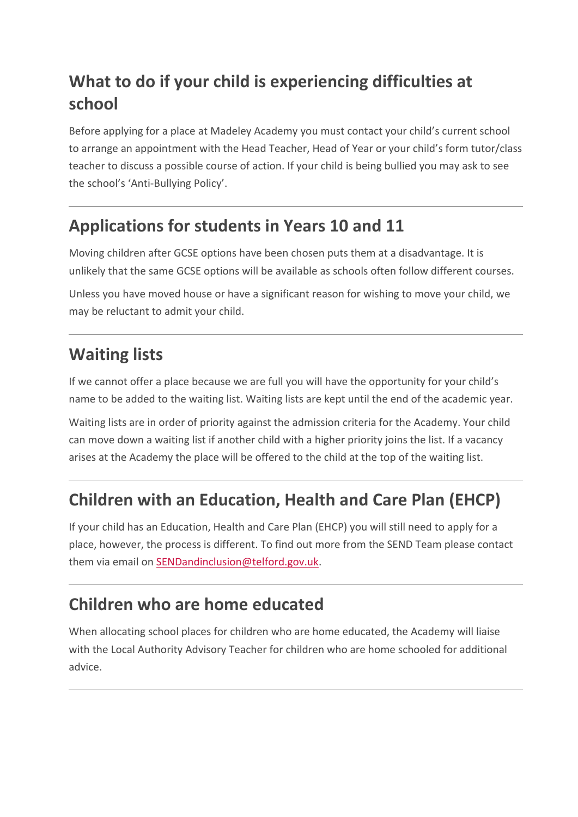# **What to do if your child is experiencing difficulties at school**

Before applying for a place at Madeley Academy you must contact your child's current school to arrange an appointment with the Head Teacher, Head of Year or your child's form tutor/class teacher to discuss a possible course of action. If your child is being bullied you may ask to see the school's 'Anti-Bullying Policy'.

#### **Applications for students in Years 10 and 11**

Moving children after GCSE options have been chosen puts them at a disadvantage. It is unlikely that the same GCSE options will be available as schools often follow different courses.

Unless you have moved house or have a significant reason for wishing to move your child, we may be reluctant to admit your child.

# **Waiting lists**

If we cannot offer a place because we are full you will have the opportunity for your child's name to be added to the waiting list. Waiting lists are kept until the end of the academic year.

Waiting lists are in order of priority against the admission criteria for the Academy. Your child can move down a waiting list if another child with a higher priority joins the list. If a vacancy arises at the Academy the place will be offered to the child at the top of the waiting list.

# **Children with an Education, Health and Care Plan (EHCP)**

If your child has an Education, Health and Care Plan (EHCP) you will still need to apply for a place, however, the process is different. To find out more from the SEND Team please contact them via email on **SENDandinclusion@telford.gov.uk**.

## **Children who are home educated**

When allocating school places for children who are home educated, the Academy will liaise with the Local Authority Advisory Teacher for children who are home schooled for additional advice.